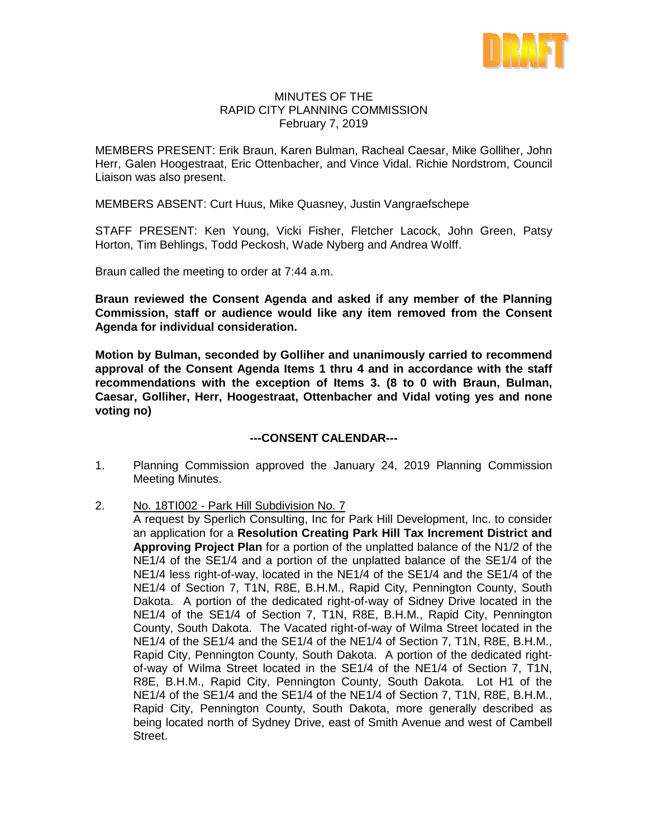

## MINUTES OF THE RAPID CITY PLANNING COMMISSION February 7, 2019

MEMBERS PRESENT: Erik Braun, Karen Bulman, Racheal Caesar, Mike Golliher, John Herr, Galen Hoogestraat, Eric Ottenbacher, and Vince Vidal. Richie Nordstrom, Council Liaison was also present.

MEMBERS ABSENT: Curt Huus, Mike Quasney, Justin Vangraefschepe

STAFF PRESENT: Ken Young, Vicki Fisher, Fletcher Lacock, John Green, Patsy Horton, Tim Behlings, Todd Peckosh, Wade Nyberg and Andrea Wolff.

Braun called the meeting to order at 7:44 a.m.

**Braun reviewed the Consent Agenda and asked if any member of the Planning Commission, staff or audience would like any item removed from the Consent Agenda for individual consideration.**

**Motion by Bulman, seconded by Golliher and unanimously carried to recommend approval of the Consent Agenda Items 1 thru 4 and in accordance with the staff recommendations with the exception of Items 3. (8 to 0 with Braun, Bulman, Caesar, Golliher, Herr, Hoogestraat, Ottenbacher and Vidal voting yes and none voting no)**

### **---CONSENT CALENDAR---**

- 1. Planning Commission approved the January 24, 2019 Planning Commission Meeting Minutes.
- 2. No. 18TI002 Park Hill Subdivision No. 7
	- A request by Sperlich Consulting, Inc for Park Hill Development, Inc. to consider an application for a **Resolution Creating Park Hill Tax Increment District and Approving Project Plan** for a portion of the unplatted balance of the N1/2 of the NE1/4 of the SE1/4 and a portion of the unplatted balance of the SE1/4 of the NE1/4 less right-of-way, located in the NE1/4 of the SE1/4 and the SE1/4 of the NE1/4 of Section 7, T1N, R8E, B.H.M., Rapid City, Pennington County, South Dakota. A portion of the dedicated right-of-way of Sidney Drive located in the NE1/4 of the SE1/4 of Section 7, T1N, R8E, B.H.M., Rapid City, Pennington County, South Dakota. The Vacated right-of-way of Wilma Street located in the NE1/4 of the SE1/4 and the SE1/4 of the NE1/4 of Section 7, T1N, R8E, B.H.M., Rapid City, Pennington County, South Dakota. A portion of the dedicated rightof-way of Wilma Street located in the SE1/4 of the NE1/4 of Section 7, T1N, R8E, B.H.M., Rapid City, Pennington County, South Dakota. Lot H1 of the NE1/4 of the SE1/4 and the SE1/4 of the NE1/4 of Section 7, T1N, R8E, B.H.M., Rapid City, Pennington County, South Dakota, more generally described as being located north of Sydney Drive, east of Smith Avenue and west of Cambell Street.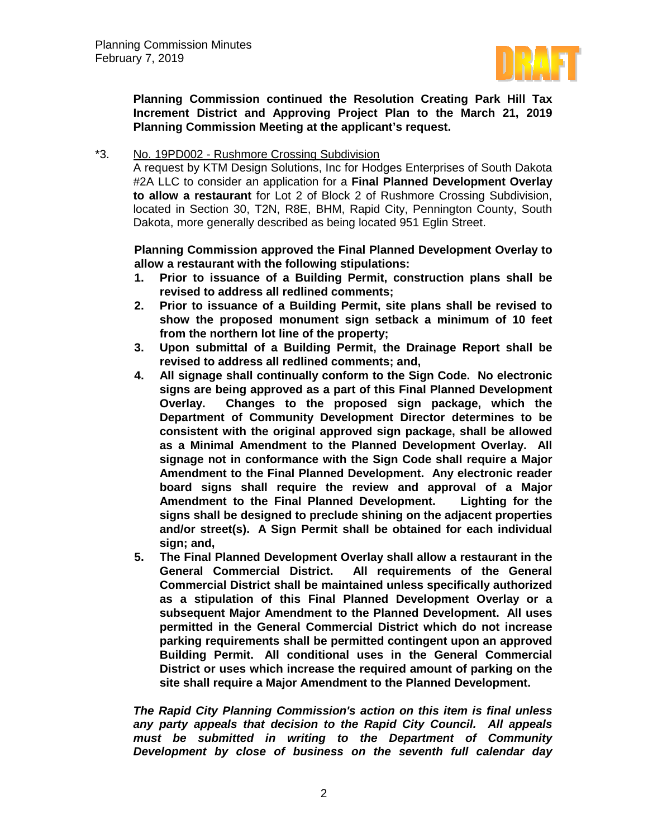

**Planning Commission continued the Resolution Creating Park Hill Tax Increment District and Approving Project Plan to the March 21, 2019 Planning Commission Meeting at the applicant's request.** 

## \*3. No. 19PD002 - Rushmore Crossing Subdivision

A request by KTM Design Solutions, Inc for Hodges Enterprises of South Dakota #2A LLC to consider an application for a **Final Planned Development Overlay to allow a restaurant** for Lot 2 of Block 2 of Rushmore Crossing Subdivision, located in Section 30, T2N, R8E, BHM, Rapid City, Pennington County, South Dakota, more generally described as being located 951 Eglin Street.

**Planning Commission approved the Final Planned Development Overlay to allow a restaurant with the following stipulations:**

- **1. Prior to issuance of a Building Permit, construction plans shall be revised to address all redlined comments;**
- **2. Prior to issuance of a Building Permit, site plans shall be revised to show the proposed monument sign setback a minimum of 10 feet from the northern lot line of the property;**
- **3. Upon submittal of a Building Permit, the Drainage Report shall be revised to address all redlined comments; and,**
- **4. All signage shall continually conform to the Sign Code. No electronic signs are being approved as a part of this Final Planned Development Overlay. Changes to the proposed sign package, which the Department of Community Development Director determines to be consistent with the original approved sign package, shall be allowed as a Minimal Amendment to the Planned Development Overlay. All signage not in conformance with the Sign Code shall require a Major Amendment to the Final Planned Development. Any electronic reader board signs shall require the review and approval of a Major**  Amendment to the Final Planned Development. **signs shall be designed to preclude shining on the adjacent properties and/or street(s). A Sign Permit shall be obtained for each individual sign; and,**
- **5. The Final Planned Development Overlay shall allow a restaurant in the All requirements of the General Commercial District shall be maintained unless specifically authorized as a stipulation of this Final Planned Development Overlay or a subsequent Major Amendment to the Planned Development. All uses permitted in the General Commercial District which do not increase parking requirements shall be permitted contingent upon an approved Building Permit. All conditional uses in the General Commercial District or uses which increase the required amount of parking on the site shall require a Major Amendment to the Planned Development.**

*The Rapid City Planning Commission's action on this item is final unless any party appeals that decision to the Rapid City Council. All appeals must be submitted in writing to the Department of Community Development by close of business on the seventh full calendar day*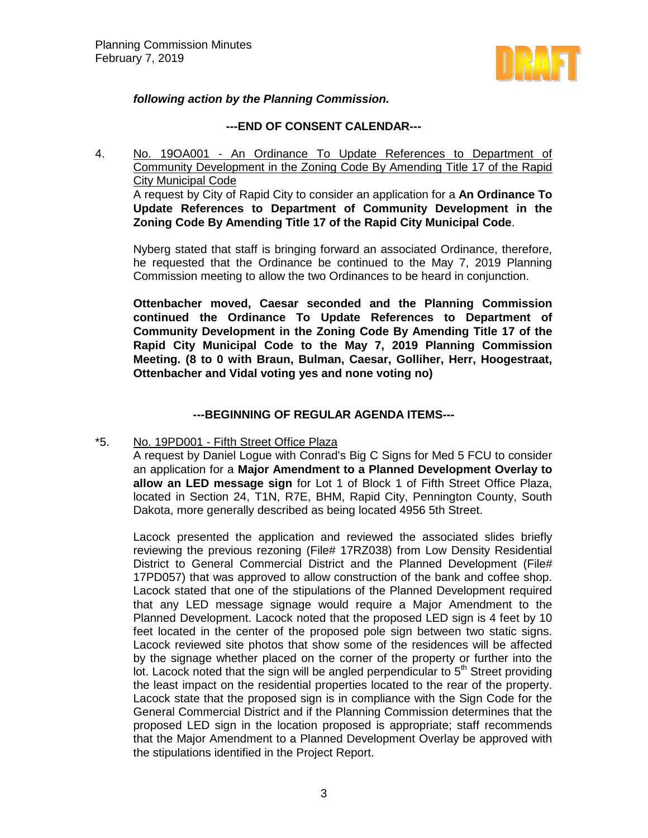

# *following action by the Planning Commission.*

## **---END OF CONSENT CALENDAR---**

4. No. 19OA001 - An Ordinance To Update References to Department of Community Development in the Zoning Code By Amending Title 17 of the Rapid City Municipal Code A request by City of Rapid City to consider an application for a **An Ordinance To Update References to Department of Community Development in the Zoning Code By Amending Title 17 of the Rapid City Municipal Code**.

Nyberg stated that staff is bringing forward an associated Ordinance, therefore, he requested that the Ordinance be continued to the May 7, 2019 Planning Commission meeting to allow the two Ordinances to be heard in conjunction.

**Ottenbacher moved, Caesar seconded and the Planning Commission continued the Ordinance To Update References to Department of Community Development in the Zoning Code By Amending Title 17 of the Rapid City Municipal Code to the May 7, 2019 Planning Commission Meeting. (8 to 0 with Braun, Bulman, Caesar, Golliher, Herr, Hoogestraat, Ottenbacher and Vidal voting yes and none voting no)**

# **---BEGINNING OF REGULAR AGENDA ITEMS---**

### \*5. No. 19PD001 - Fifth Street Office Plaza

A request by Daniel Logue with Conrad's Big C Signs for Med 5 FCU to consider an application for a **Major Amendment to a Planned Development Overlay to allow an LED message sign** for Lot 1 of Block 1 of Fifth Street Office Plaza, located in Section 24, T1N, R7E, BHM, Rapid City, Pennington County, South Dakota, more generally described as being located 4956 5th Street.

Lacock presented the application and reviewed the associated slides briefly reviewing the previous rezoning (File# 17RZ038) from Low Density Residential District to General Commercial District and the Planned Development (File# 17PD057) that was approved to allow construction of the bank and coffee shop. Lacock stated that one of the stipulations of the Planned Development required that any LED message signage would require a Major Amendment to the Planned Development. Lacock noted that the proposed LED sign is 4 feet by 10 feet located in the center of the proposed pole sign between two static signs. Lacock reviewed site photos that show some of the residences will be affected by the signage whether placed on the corner of the property or further into the lot. Lacock noted that the sign will be angled perpendicular to  $5<sup>th</sup>$  Street providing the least impact on the residential properties located to the rear of the property. Lacock state that the proposed sign is in compliance with the Sign Code for the General Commercial District and if the Planning Commission determines that the proposed LED sign in the location proposed is appropriate; staff recommends that the Major Amendment to a Planned Development Overlay be approved with the stipulations identified in the Project Report.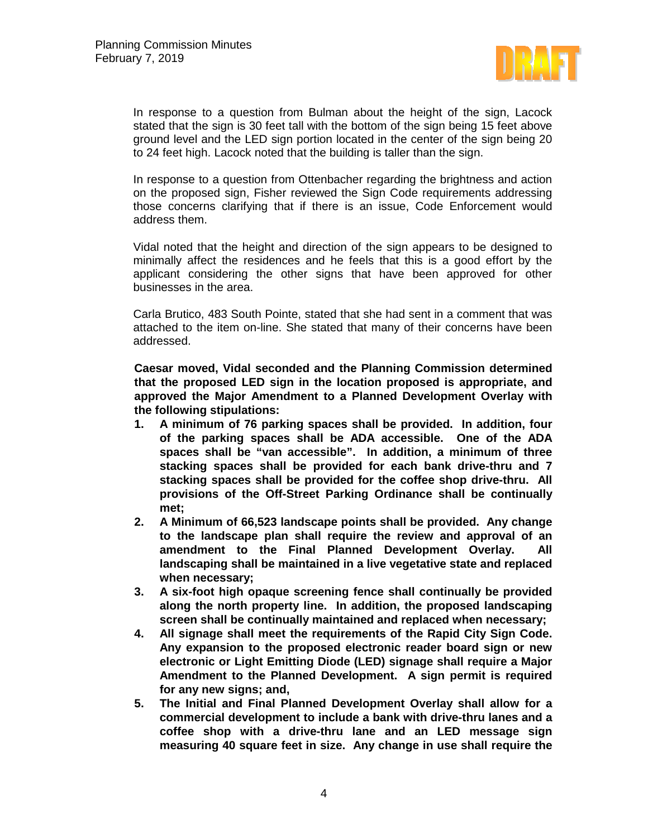

In response to a question from Bulman about the height of the sign, Lacock stated that the sign is 30 feet tall with the bottom of the sign being 15 feet above ground level and the LED sign portion located in the center of the sign being 20 to 24 feet high. Lacock noted that the building is taller than the sign.

In response to a question from Ottenbacher regarding the brightness and action on the proposed sign, Fisher reviewed the Sign Code requirements addressing those concerns clarifying that if there is an issue, Code Enforcement would address them.

Vidal noted that the height and direction of the sign appears to be designed to minimally affect the residences and he feels that this is a good effort by the applicant considering the other signs that have been approved for other businesses in the area.

Carla Brutico, 483 South Pointe, stated that she had sent in a comment that was attached to the item on-line. She stated that many of their concerns have been addressed.

**Caesar moved, Vidal seconded and the Planning Commission determined that the proposed LED sign in the location proposed is appropriate, and approved the Major Amendment to a Planned Development Overlay with the following stipulations:**

- **1. A minimum of 76 parking spaces shall be provided. In addition, four of the parking spaces shall be ADA accessible. One of the ADA spaces shall be "van accessible". In addition, a minimum of three stacking spaces shall be provided for each bank drive-thru and 7 stacking spaces shall be provided for the coffee shop drive-thru. All provisions of the Off-Street Parking Ordinance shall be continually met;**
- **2. A Minimum of 66,523 landscape points shall be provided. Any change to the landscape plan shall require the review and approval of an amendment to the Final Planned Development Overlay. All landscaping shall be maintained in a live vegetative state and replaced when necessary;**
- **3. A six-foot high opaque screening fence shall continually be provided along the north property line. In addition, the proposed landscaping screen shall be continually maintained and replaced when necessary;**
- **4. All signage shall meet the requirements of the Rapid City Sign Code. Any expansion to the proposed electronic reader board sign or new electronic or Light Emitting Diode (LED) signage shall require a Major Amendment to the Planned Development. A sign permit is required for any new signs; and,**
- **5. The Initial and Final Planned Development Overlay shall allow for a commercial development to include a bank with drive-thru lanes and a coffee shop with a drive-thru lane and an LED message sign measuring 40 square feet in size. Any change in use shall require the**